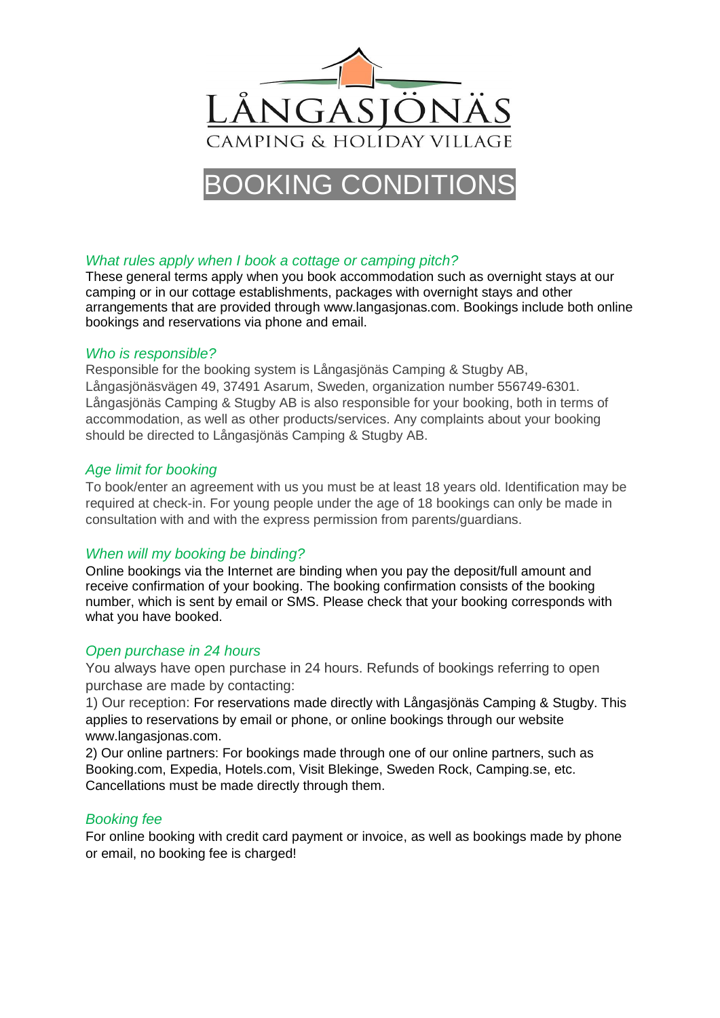

# OKING CON

# *What rules apply when I book a cottage or camping pitch?*

These general terms apply when you book accommodation such as overnight stays at our camping or in our cottage establishments, packages with overnight stays and other arrangements that are provided through www.langasjonas.com. Bookings include both online bookings and reservations via phone and email.

## *Who is responsible?*

Responsible for the booking system is Långasjönäs Camping & Stugby AB, Långasjönäsvägen 49, 37491 Asarum, Sweden, organization number 556749-6301. Långasjönäs Camping & Stugby AB is also responsible for your booking, both in terms of accommodation, as well as other products/services. Any complaints about your booking should be directed to Långasjönäs Camping & Stugby AB.

# *Age limit for booking*

To book/enter an agreement with us you must be at least 18 years old. Identification may be required at check-in. For young people under the age of 18 bookings can only be made in consultation with and with the express permission from parents/guardians.

# *When will my booking be binding?*

Online bookings via the Internet are binding when you pay the deposit/full amount and receive confirmation of your booking. The booking confirmation consists of the booking number, which is sent by email or SMS. Please check that your booking corresponds with what you have booked.

# *Open purchase in 24 hours*

You always have open purchase in 24 hours. Refunds of bookings referring to open purchase are made by contacting:

1) Our reception: For reservations made directly with Långasjönäs Camping & Stugby. This applies to reservations by email or phone, or online bookings through our website www.langasjonas.com.

2) Our online partners: For bookings made through one of our online partners, such as Booking.com, Expedia, Hotels.com, Visit Blekinge, Sweden Rock, Camping.se, etc. Cancellations must be made directly through them.

# *Booking fee*

For online booking with credit card payment or invoice, as well as bookings made by phone or email, no booking fee is charged!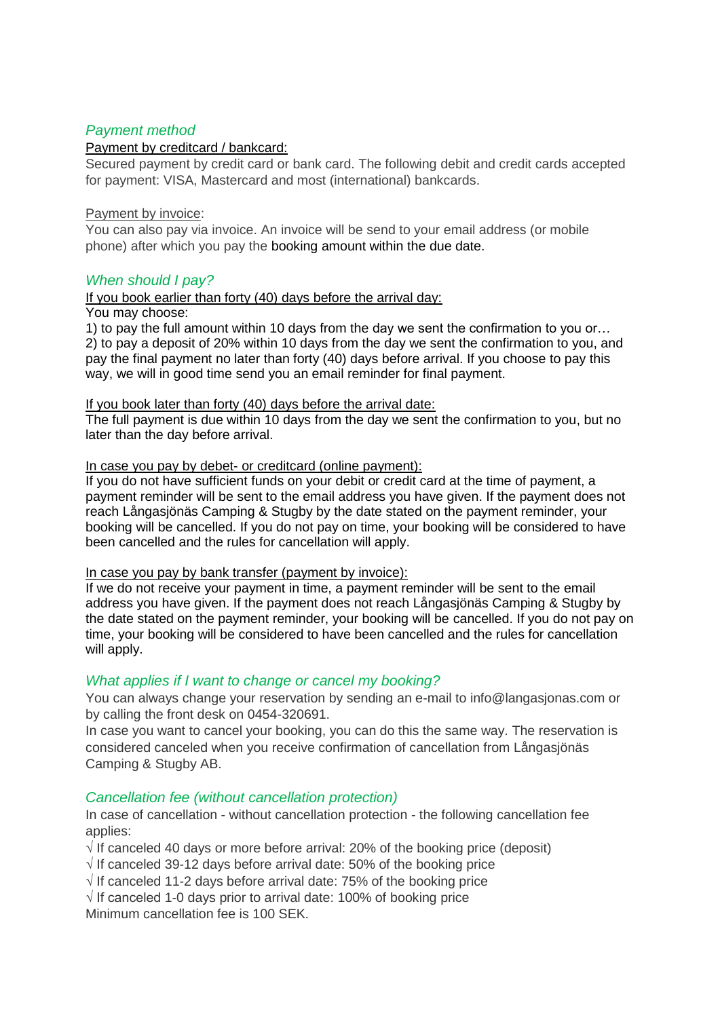# *Payment method*

## Payment by creditcard / bankcard:

Secured payment by credit card or bank card. The following debit and credit cards accepted for payment: VISA, Mastercard and most (international) bankcards.

#### Payment by invoice:

You can also pay via invoice. An invoice will be send to your email address (or mobile phone) after which you pay the booking amount within the due date.

## *When should I pay?*

### If you book earlier than forty (40) days before the arrival day:

#### You may choose:

1) to pay the full amount within 10 days from the day we sent the confirmation to you or… 2) to pay a deposit of 20% within 10 days from the day we sent the confirmation to you, and pay the final payment no later than forty (40) days before arrival. If you choose to pay this way, we will in good time send you an email reminder for final payment.

#### If you book later than forty (40) days before the arrival date:

The full payment is due within 10 days from the day we sent the confirmation to you, but no later than the day before arrival.

#### In case you pay by debet- or creditcard (online payment):

If you do not have sufficient funds on your debit or credit card at the time of payment, a payment reminder will be sent to the email address you have given. If the payment does not reach Långasjönäs Camping & Stugby by the date stated on the payment reminder, your booking will be cancelled. If you do not pay on time, your booking will be considered to have been cancelled and the rules for cancellation will apply.

#### In case you pay by bank transfer (payment by invoice):

If we do not receive your payment in time, a payment reminder will be sent to the email address you have given. If the payment does not reach Långasjönäs Camping & Stugby by the date stated on the payment reminder, your booking will be cancelled. If you do not pay on time, your booking will be considered to have been cancelled and the rules for cancellation will apply.

## *What applies if I want to change or cancel my booking?*

You can always change your reservation by sending an e-mail to info@langasjonas.com or by calling the front desk on 0454-320691.

In case you want to cancel your booking, you can do this the same way. The reservation is considered canceled when you receive confirmation of cancellation from Långasjönäs Camping & Stugby AB.

## *Cancellation fee (without cancellation protection)*

In case of cancellation - without cancellation protection - the following cancellation fee applies:

 $\sqrt{15}$  If canceled 40 days or more before arrival: 20% of the booking price (deposit)

√ If canceled 39-12 days before arrival date: 50% of the booking price

 $\sqrt{15}$  If canceled 11-2 days before arrival date: 75% of the booking price

 $\sqrt{15}$  If canceled 1-0 days prior to arrival date: 100% of booking price Minimum cancellation fee is 100 SEK.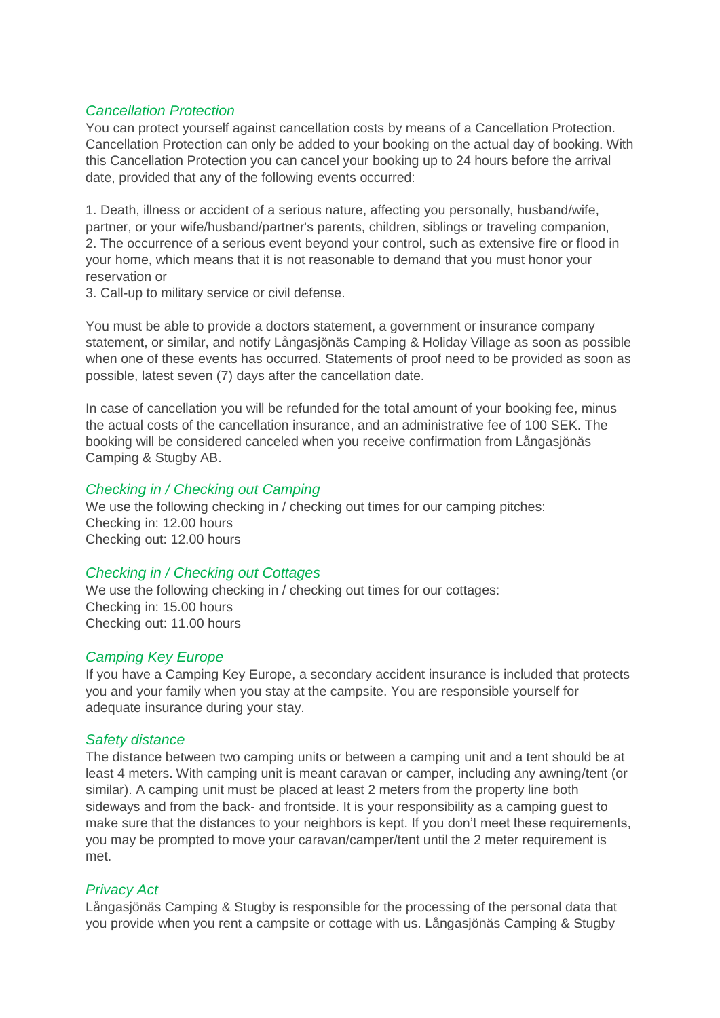## *Cancellation Protection*

You can protect yourself against cancellation costs by means of a Cancellation Protection. Cancellation Protection can only be added to your booking on the actual day of booking. With this Cancellation Protection you can cancel your booking up to 24 hours before the arrival date, provided that any of the following events occurred:

1. Death, illness or accident of a serious nature, affecting you personally, husband/wife, partner, or your wife/husband/partner's parents, children, siblings or traveling companion, 2. The occurrence of a serious event beyond your control, such as extensive fire or flood in your home, which means that it is not reasonable to demand that you must honor your reservation or

3. Call-up to military service or civil defense.

You must be able to provide a doctors statement, a government or insurance company statement, or similar, and notify Långasjönäs Camping & Holiday Village as soon as possible when one of these events has occurred. Statements of proof need to be provided as soon as possible, latest seven (7) days after the cancellation date.

In case of cancellation you will be refunded for the total amount of your booking fee, minus the actual costs of the cancellation insurance, and an administrative fee of 100 SEK. The booking will be considered canceled when you receive confirmation from Långasjönäs Camping & Stugby AB.

## *Checking in / Checking out Camping*

We use the following checking in / checking out times for our camping pitches: Checking in: 12.00 hours Checking out: 12.00 hours

## *Checking in / Checking out Cottages*

We use the following checking in / checking out times for our cottages: Checking in: 15.00 hours Checking out: 11.00 hours

## *Camping Key Europe*

If you have a Camping Key Europe, a secondary accident insurance is included that protects you and your family when you stay at the campsite. You are responsible yourself for adequate insurance during your stay.

#### *Safety distance*

The distance between two camping units or between a camping unit and a tent should be at least 4 meters. With camping unit is meant caravan or camper, including any awning/tent (or similar). A camping unit must be placed at least 2 meters from the property line both sideways and from the back- and frontside. It is your responsibility as a camping guest to make sure that the distances to your neighbors is kept. If you don't meet these requirements, you may be prompted to move your caravan/camper/tent until the 2 meter requirement is met.

## *Privacy Act*

Långasjönäs Camping & Stugby is responsible for the processing of the personal data that you provide when you rent a campsite or cottage with us. Långasjönäs Camping & Stugby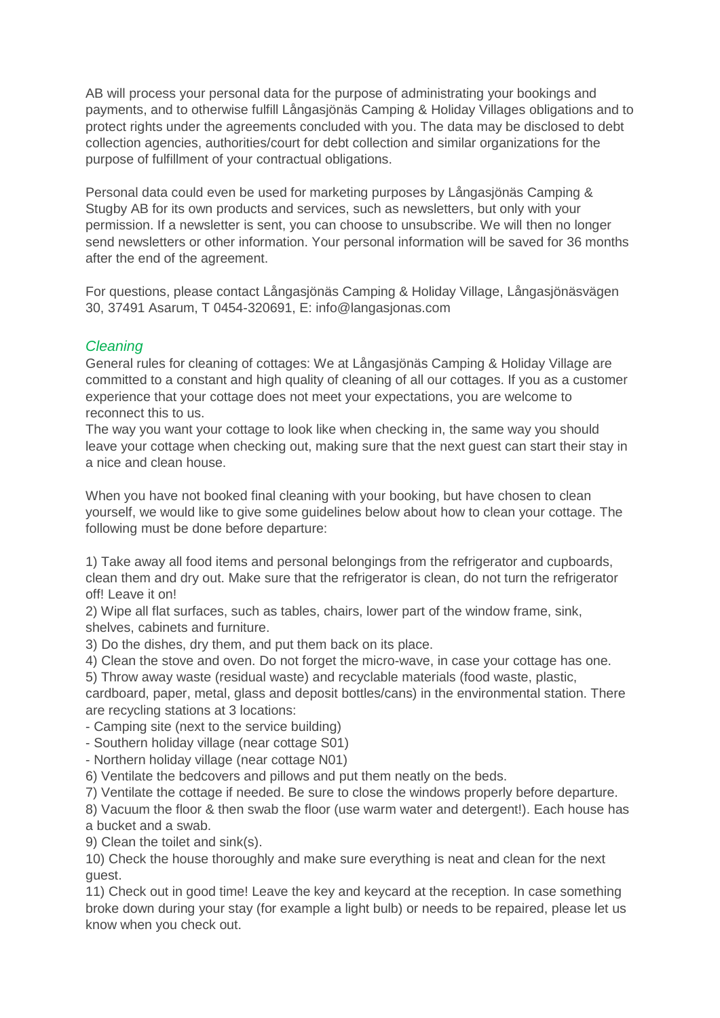AB will process your personal data for the purpose of administrating your bookings and payments, and to otherwise fulfill Långasjönäs Camping & Holiday Villages obligations and to protect rights under the agreements concluded with you. The data may be disclosed to debt collection agencies, authorities/court for debt collection and similar organizations for the purpose of fulfillment of your contractual obligations.

Personal data could even be used for marketing purposes by Långasjönäs Camping & Stugby AB for its own products and services, such as newsletters, but only with your permission. If a newsletter is sent, you can choose to unsubscribe. We will then no longer send newsletters or other information. Your personal information will be saved for 36 months after the end of the agreement.

For questions, please contact Långasjönäs Camping & Holiday Village, Långasjönäsvägen 30, 37491 Asarum, T 0454-320691, E: info@langasjonas.com

# *Cleaning*

General rules for cleaning of cottages: We at Långasjönäs Camping & Holiday Village are committed to a constant and high quality of cleaning of all our cottages. If you as a customer experience that your cottage does not meet your expectations, you are welcome to reconnect this to us.

The way you want your cottage to look like when checking in, the same way you should leave your cottage when checking out, making sure that the next guest can start their stay in a nice and clean house.

When you have not booked final cleaning with your booking, but have chosen to clean yourself, we would like to give some guidelines below about how to clean your cottage. The following must be done before departure:

1) Take away all food items and personal belongings from the refrigerator and cupboards, clean them and dry out. Make sure that the refrigerator is clean, do not turn the refrigerator off! Leave it on!

2) Wipe all flat surfaces, such as tables, chairs, lower part of the window frame, sink, shelves, cabinets and furniture.

3) Do the dishes, dry them, and put them back on its place.

4) Clean the stove and oven. Do not forget the micro-wave, in case your cottage has one.

5) Throw away waste (residual waste) and recyclable materials (food waste, plastic,

cardboard, paper, metal, glass and deposit bottles/cans) in the environmental station. There are recycling stations at 3 locations:

- Camping site (next to the service building)

- Southern holiday village (near cottage S01)

- Northern holiday village (near cottage N01)

6) Ventilate the bedcovers and pillows and put them neatly on the beds.

7) Ventilate the cottage if needed. Be sure to close the windows properly before departure.

8) Vacuum the floor & then swab the floor (use warm water and detergent!). Each house has a bucket and a swab.

9) Clean the toilet and sink(s).

10) Check the house thoroughly and make sure everything is neat and clean for the next guest.

11) Check out in good time! Leave the key and keycard at the reception. In case something broke down during your stay (for example a light bulb) or needs to be repaired, please let us know when you check out.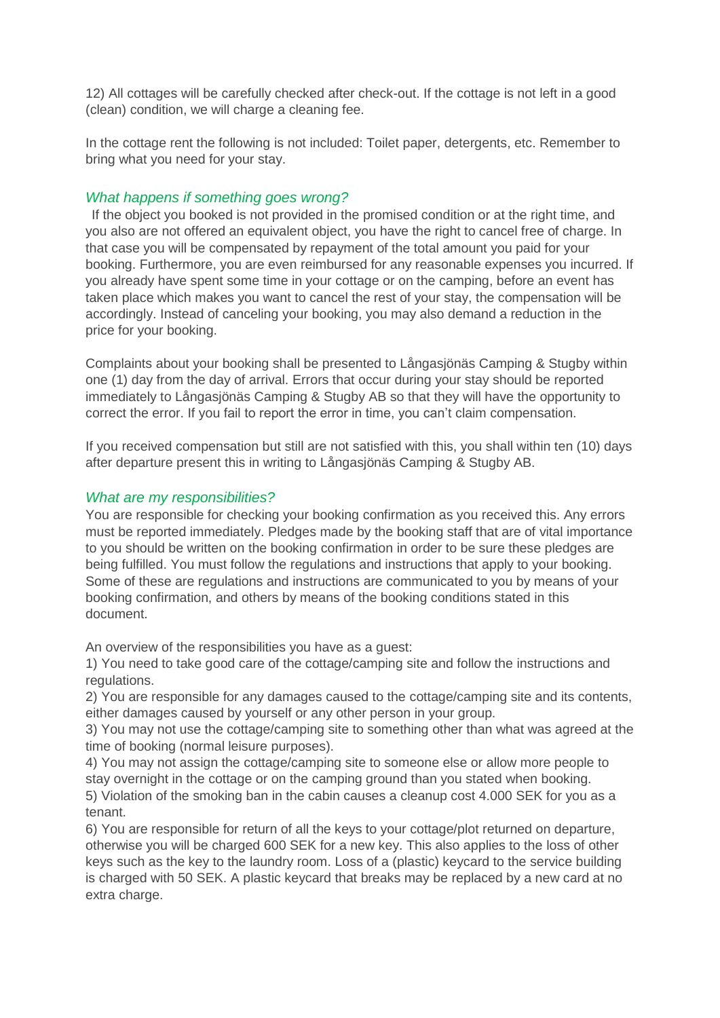12) All cottages will be carefully checked after check-out. If the cottage is not left in a good (clean) condition, we will charge a cleaning fee.

In the cottage rent the following is not included: Toilet paper, detergents, etc. Remember to bring what you need for your stay.

## *What happens if something goes wrong?*

If the object you booked is not provided in the promised condition or at the right time, and you also are not offered an equivalent object, you have the right to cancel free of charge. In that case you will be compensated by repayment of the total amount you paid for your booking. Furthermore, you are even reimbursed for any reasonable expenses you incurred. If you already have spent some time in your cottage or on the camping, before an event has taken place which makes you want to cancel the rest of your stay, the compensation will be accordingly. Instead of canceling your booking, you may also demand a reduction in the price for your booking.

Complaints about your booking shall be presented to Långasjönäs Camping & Stugby within one (1) day from the day of arrival. Errors that occur during your stay should be reported immediately to Långasjönäs Camping & Stugby AB so that they will have the opportunity to correct the error. If you fail to report the error in time, you can't claim compensation.

If you received compensation but still are not satisfied with this, you shall within ten (10) days after departure present this in writing to Långasjönäs Camping & Stugby AB.

## *What are my responsibilities?*

You are responsible for checking your booking confirmation as you received this. Any errors must be reported immediately. Pledges made by the booking staff that are of vital importance to you should be written on the booking confirmation in order to be sure these pledges are being fulfilled. You must follow the regulations and instructions that apply to your booking. Some of these are regulations and instructions are communicated to you by means of your booking confirmation, and others by means of the booking conditions stated in this document.

An overview of the responsibilities you have as a guest:

1) You need to take good care of the cottage/camping site and follow the instructions and regulations.

2) You are responsible for any damages caused to the cottage/camping site and its contents, either damages caused by yourself or any other person in your group.

3) You may not use the cottage/camping site to something other than what was agreed at the time of booking (normal leisure purposes).

4) You may not assign the cottage/camping site to someone else or allow more people to stay overnight in the cottage or on the camping ground than you stated when booking. 5) Violation of the smoking ban in the cabin causes a cleanup cost 4.000 SEK for you as a

tenant.

6) You are responsible for return of all the keys to your cottage/plot returned on departure, otherwise you will be charged 600 SEK for a new key. This also applies to the loss of other keys such as the key to the laundry room. Loss of a (plastic) keycard to the service building is charged with 50 SEK. A plastic keycard that breaks may be replaced by a new card at no extra charge.